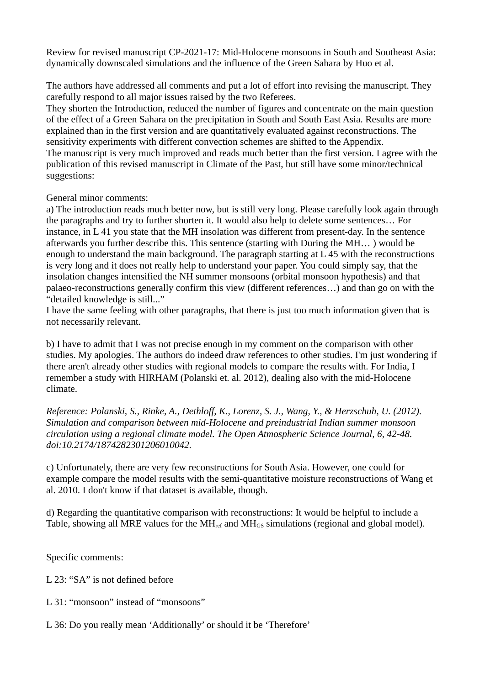Review for revised manuscript CP-2021-17: Mid-Holocene monsoons in South and Southeast Asia: dynamically downscaled simulations and the influence of the Green Sahara by Huo et al.

The authors have addressed all comments and put a lot of effort into revising the manuscript. They carefully respond to all major issues raised by the two Referees.

They shorten the Introduction, reduced the number of figures and concentrate on the main question of the effect of a Green Sahara on the precipitation in South and South East Asia. Results are more explained than in the first version and are quantitatively evaluated against reconstructions. The sensitivity experiments with different convection schemes are shifted to the Appendix. The manuscript is very much improved and reads much better than the first version. I agree with the publication of this revised manuscript in Climate of the Past, but still have some minor/technical suggestions:

General minor comments:

a) The introduction reads much better now, but is still very long. Please carefully look again through the paragraphs and try to further shorten it. It would also help to delete some sentences… For instance, in L 41 you state that the MH insolation was different from present-day. In the sentence afterwards you further describe this. This sentence (starting with During the MH… ) would be enough to understand the main background. The paragraph starting at L 45 with the reconstructions is very long and it does not really help to understand your paper. You could simply say, that the insolation changes intensified the NH summer monsoons (orbital monsoon hypothesis) and that palaeo-reconstructions generally confirm this view (different references…) and than go on with the "detailed knowledge is still..."

I have the same feeling with other paragraphs, that there is just too much information given that is not necessarily relevant.

b) I have to admit that I was not precise enough in my comment on the comparison with other studies. My apologies. The authors do indeed draw references to other studies. I'm just wondering if there aren't already other studies with regional models to compare the results with. For India, I remember a study with HIRHAM (Polanski et. al. 2012), dealing also with the mid-Holocene climate.

*Reference: Polanski, S., Rinke, A., Dethloff, K., Lorenz, S. J., Wang, Y., & Herzschuh, U. (2012). Simulation and comparison between mid-Holocene and preindustrial Indian summer monsoon circulation using a regional climate model. The Open Atmospheric Science Journal, 6, 42-48. doi:10.2174/1874282301206010042.* 

c) Unfortunately, there are very few reconstructions for South Asia. However, one could for example compare the model results with the semi-quantitative moisture reconstructions of Wang et al. 2010. I don't know if that dataset is available, though.

d) Regarding the quantitative comparison with reconstructions: It would be helpful to include a Table, showing all MRE values for the MH<sub>ref</sub> and MH<sub>GS</sub> simulations (regional and global model).

Specific comments:

L 23: "SA" is not defined before

L 31: "monsoon" instead of "monsoons"

L 36: Do you really mean 'Additionally' or should it be 'Therefore'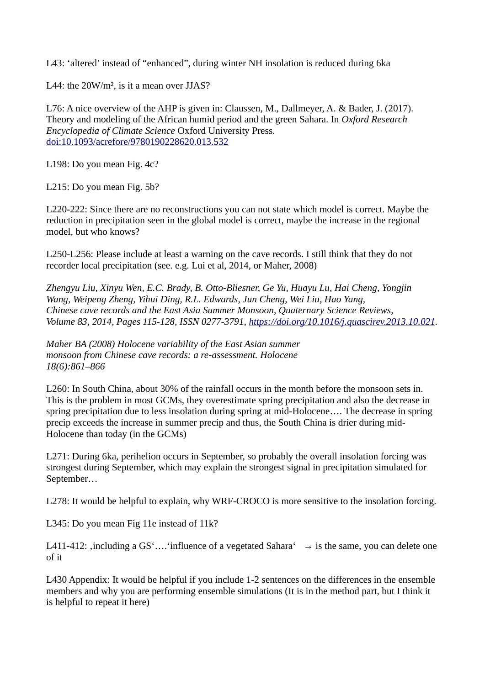L43: 'altered' instead of "enhanced", during winter NH insolation is reduced during 6ka

L44: the 20W/m<sup>2</sup>, is it a mean over JJAS?

L76: A nice overview of the AHP is given in: Claussen, M., Dallmeyer, A. & Bader, J. (2017). Theory and modeling of the African humid period and the green Sahara. In *Oxford Research Encyclopedia of Climate Science* Oxford University Press. [doi:10.1093/acrefore/9780190228620.013.532](http://dx.doi.org/10.1093/acrefore/9780190228620.013.532)

L198: Do you mean Fig. 4c?

L215: Do you mean Fig. 5b?

L220-222: Since there are no reconstructions you can not state which model is correct. Maybe the reduction in precipitation seen in the global model is correct, maybe the increase in the regional model, but who knows?

L250-L256: Please include at least a warning on the cave records. I still think that they do not recorder local precipitation (see. e.g. Lui et al, 2014, or Maher, 2008)

*Zhengyu Liu, Xinyu Wen, E.C. Brady, B. Otto-Bliesner, Ge Yu, Huayu Lu, Hai Cheng, Yongjin Wang, Weipeng Zheng, Yihui Ding, R.L. Edwards, Jun Cheng, Wei Liu, Hao Yang, Chinese cave records and the East Asia Summer Monsoon, Quaternary Science Reviews, Volume 83, 2014, Pages 115-128, ISSN 0277-3791, [https://doi.org/10.1016/j.quascirev.2013.10.021.](https://doi.org/10.1016/j.quascirev.2013.10.021)*

*Maher BA (2008) Holocene variability of the East Asian summer monsoon from Chinese cave records: a re-assessment. Holocene 18(6):861–866*

L260: In South China, about 30% of the rainfall occurs in the month before the monsoon sets in. This is the problem in most GCMs, they overestimate spring precipitation and also the decrease in spring precipitation due to less insolation during spring at mid-Holocene…. The decrease in spring precip exceeds the increase in summer precip and thus, the South China is drier during mid-Holocene than today (in the GCMs)

L271: During 6ka, perihelion occurs in September, so probably the overall insolation forcing was strongest during September, which may explain the strongest signal in precipitation simulated for September…

L278: It would be helpful to explain, why WRF-CROCO is more sensitive to the insolation forcing.

L345: Do you mean Fig 11e instead of 11k?

L411-412: , including a GS'.... 'influence of a vegetated Sahara'  $\rightarrow$  is the same, you can delete one of it

L430 Appendix: It would be helpful if you include 1-2 sentences on the differences in the ensemble members and why you are performing ensemble simulations (It is in the method part, but I think it is helpful to repeat it here)